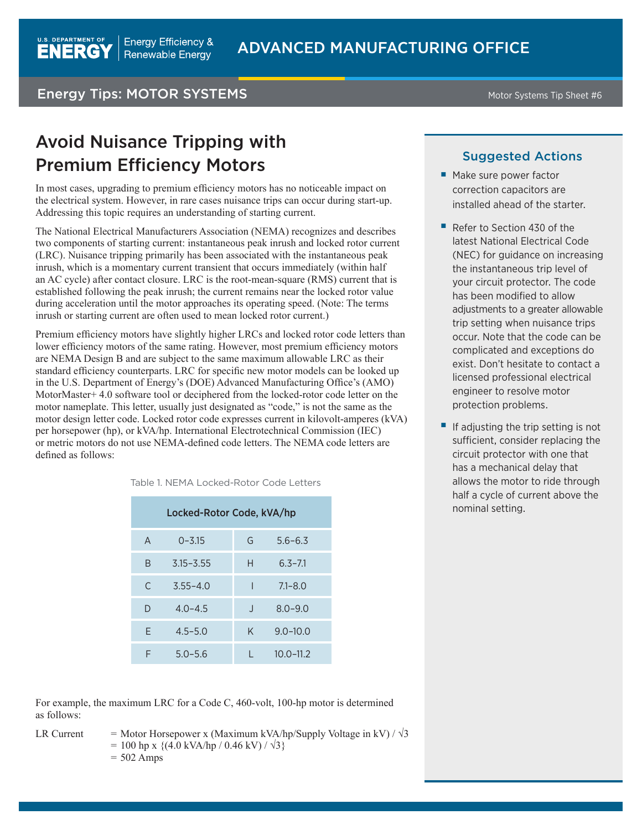### Energy Tips: MOTOR SYSTEMS MOTOR SYSTEMS Motor Systems Tip Sheet #6

**U.S. DEPARTMENT OF** 

**ENERGY** 

## Avoid Nuisance Tripping with Premium Efficiency Motors

In most cases, upgrading to premium efficiency motors has no noticeable impact on the electrical system. However, in rare cases nuisance trips can occur during start-up. Addressing this topic requires an understanding of starting current.

The National Electrical Manufacturers Association (NEMA) recognizes and describes two components of starting current: instantaneous peak inrush and locked rotor current (LRC). Nuisance tripping primarily has been associated with the instantaneous peak inrush, which is a momentary current transient that occurs immediately (within half an AC cycle) after contact closure. LRC is the root-mean-square (RMS) current that is established following the peak inrush; the current remains near the locked rotor value during acceleration until the motor approaches its operating speed. (Note: The terms inrush or starting current are often used to mean locked rotor current.)

Premium efficiency motors have slightly higher LRCs and locked rotor code letters than lower efficiency motors of the same rating. However, most premium efficiency motors are NEMA Design B and are subject to the same maximum allowable LRC as their standard efficiency counterparts. LRC for specific new motor models can be looked up in the U.S. Department of Energy's (DOE) Advanced Manufacturing Office's (AMO) MotorMaster+ 4.0 software tool or deciphered from the locked-rotor code letter on the motor nameplate. This letter, usually just designated as "code," is not the same as the motor design letter code. Locked rotor code expresses current in kilovolt-amperes (kVA) per horsepower (hp), or kVA/hp. International Electrotechnical Commission (IEC) or metric motors do not use NEMA-defined code letters. The NEMA code letters are defined as follows:

|  | Table 1. NEMA Locked-Rotor Code Letters |  |
|--|-----------------------------------------|--|
|  |                                         |  |

| Locked-Rotor Code, kVA/hp |               |              |               |  |  |  |
|---------------------------|---------------|--------------|---------------|--|--|--|
| $\mathsf{A}$              | $0 - 3.15$    | G            | $5.6 - 6.3$   |  |  |  |
| B                         | $3.15 - 3.55$ | H            | $6.3 - 7.1$   |  |  |  |
| C                         | $3.55 - 4.0$  |              | $7.1 - 8.0$   |  |  |  |
| D                         | $4.0 - 4.5$   | $\mathbf{I}$ | $8.0 - 9.0$   |  |  |  |
| F                         | $4.5 - 5.0$   | K            | $9.0 - 10.0$  |  |  |  |
| F                         | $5.0 - 5.6$   |              | $10.0 - 11.2$ |  |  |  |

#### Suggested Actions

- Make sure power factor correction capacitors are installed ahead of the starter.
- Refer to Section 430 of the latest National Electrical Code (NEC) for guidance on increasing the instantaneous trip level of your circuit protector. The code has been modified to allow adjustments to a greater allowable trip setting when nuisance trips occur. Note that the code can be complicated and exceptions do exist. Don't hesitate to contact a licensed professional electrical engineer to resolve motor protection problems.
- If adjusting the trip setting is not sufficient, consider replacing the circuit protector with one that has a mechanical delay that allows the motor to ride through half a cycle of current above the nominal setting.

For example, the maximum LRC for a Code C, 460-volt, 100-hp motor is determined as follows:

```
LR Current = Motor Horsepower x (Maximum kVA/hp/Supply Voltage in kV) / \sqrt{3}= 100 hp x {(4.0 kVA/hp / 0.46 kV) / \sqrt{3}}
     = 502 Amps
```